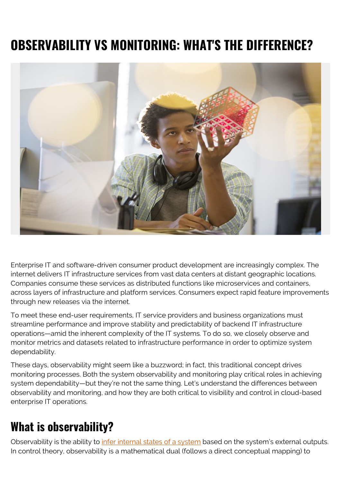# **OBSERVABILITY VS MONITORING: WHAT'S THE DIFFERENCE?**



Enterprise IT and software-driven consumer product development are increasingly complex. The internet delivers IT infrastructure services from vast data centers at distant geographic locations. Companies consume these services as distributed functions like microservices and containers, across layers of infrastructure and platform services. Consumers expect rapid feature improvements through new releases via the internet.

To meet these end-user requirements, IT service providers and business organizations must streamline performance and improve stability and predictability of backend IT infrastructure operations—amid the inherent complexity of the IT systems. To do so, we closely observe and monitor metrics and datasets related to infrastructure performance in order to optimize system dependability.

These days, observability might seem like a buzzword; in fact, this traditional concept drives monitoring processes. Both the system observability and monitoring play critical roles in achieving system dependability—but they're not the same thing. Let's understand the differences between observability and monitoring, and how they are both critical to visibility and control in cloud-based enterprise IT operations.

#### **What is observability?**

Observability is the ability to *infer internal states of a system* based on the system's external outputs. In control theory, observability is a mathematical dual (follows a direct conceptual mapping) to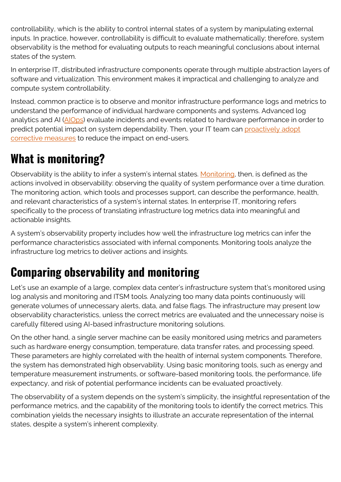controllability, which is the ability to control internal states of a system by manipulating external inputs. In practice, however, controllability is difficult to evaluate mathematically; therefore, system observability is the method for evaluating outputs to reach meaningful conclusions about internal states of the system.

In enterprise IT, distributed infrastructure components operate through multiple abstraction layers of software and virtualization. This environment makes it impractical and challenging to analyze and compute system controllability.

Instead, common practice is to observe and monitor infrastructure performance logs and metrics to understand the performance of individual hardware components and systems. Advanced log analytics and AI [\(AIOps\)](https://blogs.bmc.com/learn/what-is-aiops.html) evaluate incidents and events related to hardware performance in order to predict potential impact on system dependability. Then, your IT team can [proactively adopt](https://blogs.bmc.com/blogs/reactive-vs-proactive-problem-management/) [corrective measures](https://blogs.bmc.com/blogs/reactive-vs-proactive-problem-management/) to reduce the impact on end-users.

#### **What is monitoring?**

Observability is the ability to infer a system's internal states. [Monitoring,](https://blogs.bmc.com/blogs/monitoring-logging-tracing/) then, is defined as the actions involved in observability: observing the quality of system performance over a time duration. The monitoring action, which tools and processes support, can describe the performance, health, and relevant characteristics of a system's internal states. In enterprise IT, monitoring refers specifically to the process of translating infrastructure log metrics data into meaningful and actionable insights.

A system's observability property includes how well the infrastructure log metrics can infer the performance characteristics associated with infernal components. Monitoring tools analyze the infrastructure log metrics to deliver actions and insights.

### **Comparing observability and monitoring**

Let's use an example of a large, complex data center's infrastructure system that's monitored using log analysis and monitoring and ITSM tools. Analyzing too many data points continuously will generate volumes of unnecessary alerts, data, and false flags. The infrastructure may present low observability characteristics, unless the correct metrics are evaluated and the unnecessary noise is carefully filtered using AI-based infrastructure monitoring solutions.

On the other hand, a single server machine can be easily monitored using metrics and parameters such as hardware energy consumption, temperature, data transfer rates, and processing speed. These parameters are highly correlated with the health of internal system components. Therefore, the system has demonstrated high observability. Using basic monitoring tools, such as energy and temperature measurement instruments, or software-based monitoring tools, the performance, life expectancy, and risk of potential performance incidents can be evaluated proactively.

The observability of a system depends on the system's simplicity, the insightful representation of the performance metrics, and the capability of the monitoring tools to identify the correct metrics. This combination yields the necessary insights to illustrate an accurate representation of the internal states, despite a system's inherent complexity.